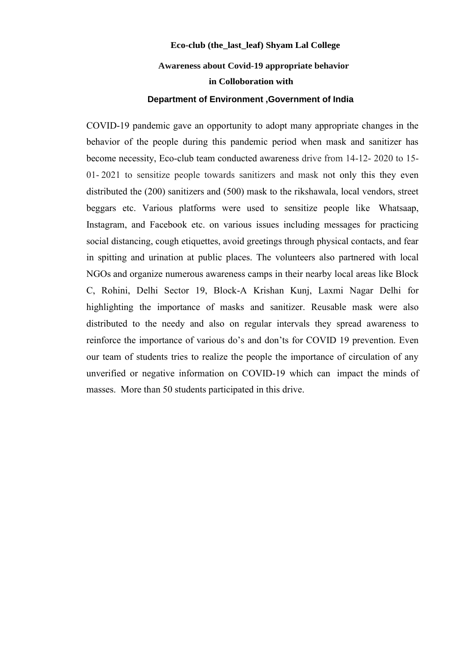## **Eco-club (the\_last\_leaf) Shyam Lal College Awareness about Covid-19 appropriate behavior in Colloboration with Department of Environment ,Government of India**

COVID-19 pandemic gave an opportunity to adopt many appropriate changes in the behavior of the people during this pandemic period when mask and sanitizer has become necessity, Eco-club team conducted awareness drive from 14-12- 2020 to 15- 01- 2021 to sensitize people towards sanitizers and mask not only this they even distributed the (200) sanitizers and (500) mask to the rikshawala, local vendors, street beggars etc. Various platforms were used to sensitize people like Whatsaap, Instagram, and Facebook etc. on various issues including messages for practicing social distancing, cough etiquettes, avoid greetings through physical contacts, and fear in spitting and urination at public places. The volunteers also partnered with local NGOs and organize numerous awareness camps in their nearby local areas like Block C, Rohini, Delhi Sector 19, Block-A Krishan Kunj, Laxmi Nagar Delhi for highlighting the importance of masks and sanitizer. Reusable mask were also distributed to the needy and also on regular intervals they spread awareness to reinforce the importance of various do's and don'ts for COVID 19 prevention. Even our team of students tries to realize the people the importance of circulation of any unverified or negative information on COVID-19 which can impact the minds of masses. More than 50 students participated in this drive.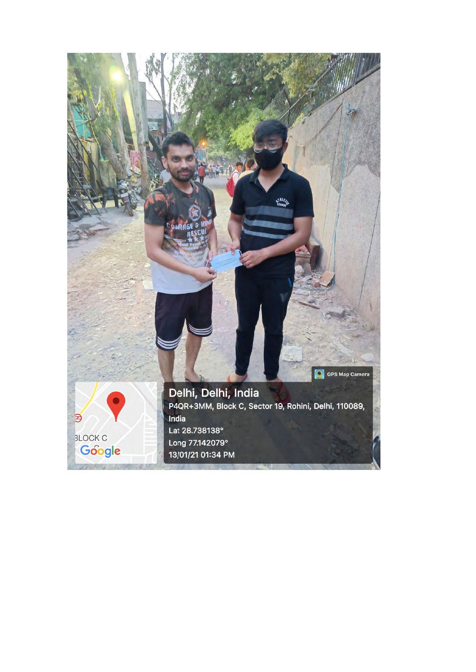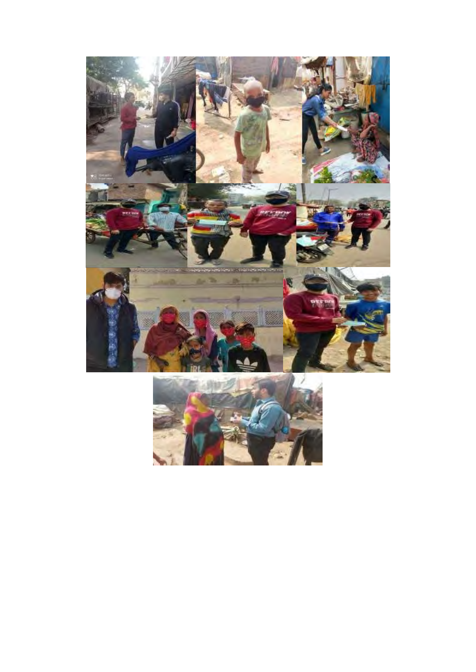